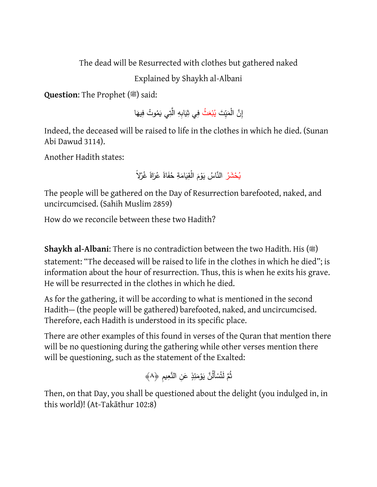The dead will be Resurrected with clothes but gathered naked

Explained by Shaykh al-Albani

**Question:** The Prophet ( $\stackrel{\textcircled{\tiny{w}}}{\text{}}$ ) said:

إِنَّ الْمَيِّتَ <mark>يُبْعَثُ فِي ثِيَابِهِ الَّتِي يَمُوتُ فِيهَا</mark> **ٔ**  $\epsilon$ 

Indeed, the deceased will be raised to life in the clothes in which he died. (Sunan Abi Dawud 3114).

Another Hadith states:

يُحْشَرُ النَّاسُ يَوْمَ الْقِيَامَةِ حُفَاةً عُرَاةً غُرْلاً .<br>ا َ ْ

The people will be gathered on the Day of Resurrection barefooted, naked, and uncircumcised. (Sahih Muslim 2859)

How do we reconcile between these two Hadith?

**Shaykh al-Albani:** There is no contradiction between the two Hadith. His ( $\ddot{\mathbf{x}}$ ) statement: "The deceased will be raised to life in the clothes in which he died"; is information about the hour of resurrection. Thus, this is when he exits his grave. He will be resurrected in the clothes in which he died.

As for the gathering, it will be according to what is mentioned in the second Hadith— (the people will be gathered) barefooted, naked, and uncircumcised. Therefore, each Hadith is understood in its specific place.

There are other examples of this found in verses of the Quran that mention there will be no questioning during the gathering while other verses mention there will be questioning, such as the statement of the Exalted:

```
ثُمَّ لَتُسْأَلُنَّ يَوْمَئِذٍ عَنِ النَّعِيمِ ﴿٨﴾
                      ْ
                                ْ
```
Then, on that Day, you shall be questioned about the delight (you indulged in, in this world)! (At-Takāthur 102:8)